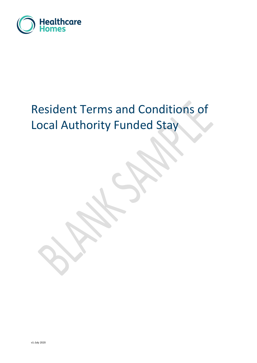

# Resident Terms and Conditions of Local Authority Funded Stay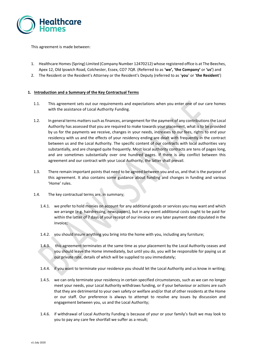

This agreement is made between:

- 1. Healthcare Homes(Spring) Limited (Company Number 12470212) whose registered office is at The Beeches, Apex 12, Old Ipswich Road, Colchester, Essex, CO7 7QR. (Referred to as **'we', 'the Company'** or **'us'**) and
- 2. The Resident or the Resident's Attorney or the Resident's Deputy (referred to as '**you**' or '**the Resident**')

### **1. Introduction and a Summary of the Key Contractual Terms**

- 1.1. This agreement sets out our requirements and expectations when you enter one of our care homes with the assistance of Local Authority Funding.
- 1.2. In general terms matters such as finances, arrangement for the payment of any contributions the Local Authority has assessed that you are required to make towards your placement, what is to be provided by us for the payments we receive, changes in your needs, increases to our fees, rights to end your residency with us and the effects of your residency ending are dealt with frequently in the contract between us and the Local Authority. The specific content of our contracts with local authorities vary substantially, and are changed quite frequently. Most local authority contracts are tens of pages long, and are sometimes substantially over one hundred pages. If there is any conflict between this agreement and our contract with your Local Authority, the latter shall prevail.
- 1.3. There remain important points that need to be agreed between you and us, and that is the purpose of this agreement. It also contains some guidance about funding and changes in funding and various 'Home' rules.
- 1.4. The key contractual terms are, in summary;
	- 1.4.1. we prefer to hold monies on account for any additional goods or services you may want and which we arrange (e.g. hairdressing, newspapers), but in any event additional costs ought to be paid for within the latter of 7 days of your receipt of our invoice or any later payment date stipulated in the invoice;
	- 1.4.2. you should insure anything you bring into the home with you, including any furniture;
	- 1.4.3. this agreement terminates at the same time as your placement by the Local Authority ceases and you should leave the Home immediately, but until you do, you will be responsible for paying us at our private rate, details of which will be supplied to you immediately;
	- 1.4.4. if you want to terminate your residence you should let the Local Authority and us know in writing;
	- 1.4.5. we can only terminate your residency in certain specified circumstances, such as we can no longer meet your needs, your Local Authority withdraws funding, or if your behaviour or actions are such that they are detrimental to your own safety or welfare and/or that of other residents at the Home or our staff. Our preference is always to attempt to resolve any issues by discussion and engagement between you, us and the Local Authority;
	- 1.4.6. if withdrawal of Local Authority Funding is because of your or your family's fault we may look to you to pay any care fee shortfall we suffer as a result;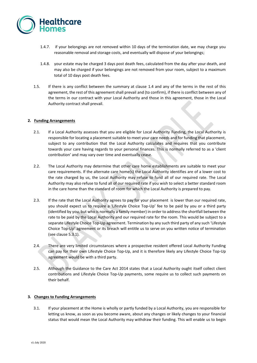

- 1.4.7. if your belongings are not removed within 10 days of the termination date, we may charge you reasonable removal and storage costs, and eventually will dispose of your belongings;
- 1.4.8. your estate may be charged 3 days post death fees, calculated from the day after your death, and may also be charged if your belongings are not removed from your room, subject to a maximum total of 10 days post death fees.
- 1.5. If there is any conflict between the summary at clause 1.4 and any of the terms in the rest of this agreement, the rest of this agreement shall prevail and (to confirm), if there is conflict between any of the terms in our contract with your Local Authority and those in this agreement, those in the Local Authority contract shall prevail.

### **2. Funding Arrangements**

- 2.1. If a Local Authority assesses that you are eligible for Local Authority Funding, the Local Authority is responsible for locating a placement suitable to meet your care needs and for funding that placement, subject to any contribution that the Local Authority calculates and requires that you contribute towards your care having regards to your personal finances. This is normally referred to as a 'client contribution' and may vary over time and eventually cease.
- 2.2. The Local Authority may determine that other care home establishments are suitable to meet your care requirements. If the alternate care home(s) the Local Authority identifies are of a lower cost to the rate charged by us, the Local Authority may refuse to fund all of our required rate. The Local Authority may also refuse to fund all of our required rate if you wish to select a better standard room in the care home than the standard of room for which the Local Authority is prepared to pay.
- 2.3. If the rate that the Local Authority agrees to pay for your placement is lower than our required rate, you should expect us to require a 'Lifestyle Choice Top-Up' fee to be paid by you or a third party (identified by you, but who is normally a family member) in order to address the shortfall between the rate to be paid by the Local Authority and our required rate for the room. This would be subject to a separate Lifestyle Choice Top-Up agreement. Termination by any such third party of any such 'Lifestyle Choice Top-Up' agreement or its breach will entitle us to serve on you written notice of termination (see clause 5.3.1).
- 2.4. There are very limited circumstances where a prospective resident offered Local Authority Funding can pay for their own Lifestyle Choice Top-Up, and it is therefore likely any Lifestyle Choice Top-Up agreement would be with a third party.
- 2.5. Although the Guidance to the Care Act 2014 states that a Local Authority ought itself collect client contributions and Lifestyle Choice Top-Up payments, some require us to collect such payments on their behalf.

### **3. Changes to Funding Arrangements**

3.1. If your placement at the Home is wholly or partly funded by a Local Authority, you are responsible for letting us know, as soon as you become aware, about any changes or likely changes to your financial status that would mean the Local Authority may withdraw their funding. This will enable us to begin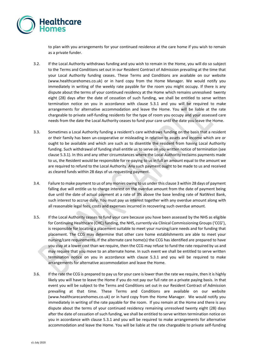

to plan with you arrangements for your continued residence at the care home if you wish to remain as a private funder.

- 3.2. If the Local Authority withdraws funding and you wish to remain in the Home, you will do so subject to the Terms and Conditions set out in our Resident Contract of Admission prevailing at the time that your Local Authority funding ceases. These Terms and Conditions are available on our website (www.healthcarehomes.co.uk) or in hard copy from the Home Manager. We would notify you immediately in writing of the weekly rate payable for the room you might occupy. If there is any dispute about the terms of your continued residency at the Home which remains unresolved twenty eight (28) days after the date of cessation of such funding, we shall be entitled to serve written termination notice on you in accordance with clause 5.3.1 and you will be required to make arrangements for alternative accommodation and leave the Home. You will be liable at the rate chargeable to private self-funding residents for the type of room you occupy and your assessed care needs from the date the Local Authority ceases to fund your care until the date you leave the Home.
- 3.3. Sometimes a Local Authority funding a resident's care withdraws funding on the basis that a resident or their family has been un-cooperative or misleading in relation to assets and income which are or ought to be available and which are such as to disentitle the resident from having Local Authority funding. Such withdrawal of funding shall entitle us to serve on you written notice of termination (see clause 5.3.1). In this and any other circumstances where the Local Authority reclaims payments made to us, the Resident would be responsible for re-paying to us in full an amount equal to the amount we are required to refund to the Local Authority. Any such payment ought to be made to us and received as cleared funds within 28 days of us requesting payment.
- 3.4. Failure to make payment to us of any monies owing to us under this clause 3 within 28 days of payment falling due will entitle us to charge interest on the overdue amount from the date of payment being due until the date of actual payment at a rate of 3% above the base lending rate of NatWest Bank, such interest to accrue daily. You must pay us interest together with any overdue amount along with all reasonable legal fees, costs and expenses incurred in recovering such overdue amount.
- 3.5. If the Local Authority ceases to fund your care because you have been assessed by the NHS as eligible for Continuing Healthcare (CHC) funding, the NHS, currently via Clinical Commissioning Groups ('CCG'), is responsible for locating a placement suitable to meet your nursing/care needs and for funding that placement. The CCG may determine that other care home establishments are able to meet your nursing/care requirements. If the alternate care home(s) the CCG has identified are prepared to have you stay at a lower cost than we require, then the CCG may refuse to fund the rate required by us and may require that you move to an alternate home. In such event we shall be entitled to serve written termination notice on you in accordance with clause 5.3.1 and you will be required to make arrangements for alternative accommodation and leave the Home.
- 3.6. If the rate the CCG is prepared to pay us for your care is lower than the rate we require, then it is highly likely you will have to leave the Home if you do not pay our full rate on a private paying basis. In that event you will be subject to the Terms and Conditions set out in our Resident Contract of Admission prevailing at that time. These Terms and Conditions are available on our website (www.healthcarecarehomes.co.uk) or in hard copy from the Home Manager. We would notify you immediately in writing of the rate payable for the room. If you remain at the Home and there is any dispute about the terms of your continued residency remaining unresolved twenty eight (28) days after the date of cessation of such funding, we shall be entitled to serve written termination notice on you in accordance with clause 5.3.1 and you will be required to make arrangements for alternative accommodation and leave the Home. You will be liable at the rate chargeable to private self-funding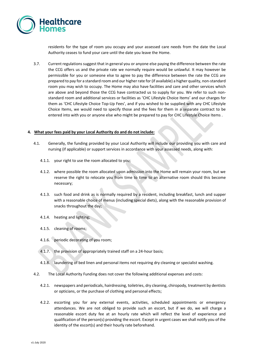

residents for the type of room you occupy and your assessed care needs from the date the Local Authority ceases to fund your care until the date you leave the Home.

3.7. Current regulations suggest that in general you or anyone else paying the difference between the rate the CCG offers us and the private rate we normally require would be unlawful. It may however be permissible for you or someone else to agree to pay the difference between the rate the CCG are prepared to pay for a standard room and our higher rate for (if available) a higher quality, non-standard room you may wish to occupy. The Home may also have facilities and care and other services which are above and beyond those the CCG have contracted us to supply for you. We refer to such nonstandard room and additional services or facilities as 'CHC Lifestyle Choice Items' and our charges for them as 'CHC Lifestyle Choice Top-Up Fees', and if you wished to be supplied with any CHC Lifestyle Choice Items, we would need to specify those and the fees for them in a separate contract to be entered into with you or anyone else who might be prepared to pay for CHC Lifestyle Choice Items .

#### **4. What your fees paid by your Local Authority do and do not include:**

- 4.1. Generally, the funding provided by your Local Authority will include our providing you with care and nursing (if applicable) or support services in accordance with your assessed needs, along with:
	- 4.1.1. your right to use the room allocated to you;
	- 4.1.2. where possible the room allocated upon admission into the Home will remain your room, but we reserve the right to relocate you from time to time to an alternative room should this become necessary;
	- 4.1.3. such food and drink as is normally required by a resident, including breakfast, lunch and supper with a reasonable choice of menus (including special diets), along with the reasonable provision of snacks throughout the day;
	- 4.1.4. heating and lighting;
	- 4.1.5. cleaning of rooms;
	- 4.1.6. periodic decorating of you room;
	- 4.1.7. the provision of appropriately trained staff on a 24-hour basis;
	- 4.1.8. laundering of bed linen and personal items not requiring dry cleaning or specialist washing.
- 4.2. The Local Authority Funding does not cover the following additional expenses and costs:
	- 4.2.1. newspapers and periodicals, hairdressing, toiletries, dry cleaning, chiropody, treatment by dentists or opticians, or the purchase of clothing and personal effects;
	- 4.2.2. escorting you for any external events, activities, scheduled appointments or emergency attendances. We are not obliged to provide such an escort, but if we do, we will charge a reasonable escort duty fee at an hourly rate which will reflect the level of experience and qualification of the person(s) providing the escort. Except in urgent cases we shall notify you of the identity of the escort(s) and their hourly rate beforehand.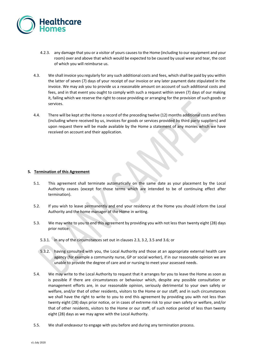

- 4.2.3. any damage that you or a visitor of yours causes to the Home (including to our equipment and your room) over and above that which would be expected to be caused by usual wear and tear, the cost of which you will reimburse us.
- 4.3. We shall invoice you regularly for any such additional costs and fees, which shall be paid by you within the latter of seven (7) days of your receipt of our invoice or any later payment date stipulated in the invoice. We may ask you to provide us a reasonable amount on account of such additional costs and fees, and in that event you ought to comply with such a request within seven (7) days of our making it, failing which we reserve the right to cease providing or arranging for the provision of such goods or services.
- 4.4. There will be kept at the Home a record of the preceding twelve (12) months additional costs and fees (including where received by us, invoices for goods or services provided by third party suppliers) and upon request there will be made available by the Home a statement of any monies which we have received on account and their application.

## **5. Termination of this Agreement**

- 5.1. This agreement shall terminate automatically on the same date as your placement by the Local Authority ceases (except for those terms which are intended to be of continuing effect after termination).
- 5.2. If you wish to leave permanently and end your residency at the Home you should inform the Local Authority and the home manager of the Home in writing.
- 5.3. We may write to you to end this agreement by providing you with not less than twenty eight (28) days prior notice:
	- 5.3.1. in any of the circumstances set out in clauses 2.3, 3.2, 3.5 and 3.6; or
	- 5.3.2. having consulted with you, the Local Authority and those at an appropriate external health care agency (for example a community nurse, GP or social worker), if in our reasonable opinion we are unable to provide the degree of care and or nursing to meet your assessed needs.
- 5.4. We may write to the Local Authority to request that it arranges for you to leave the Home as soon as is possible if there are circumstances or behaviour which, despite any possible consultation or management efforts are, in our reasonable opinion, seriously detrimental to your own safety or welfare, and/or that of other residents, visitors to the Home or our staff; and in such circumstances we shall have the right to write to you to end this agreement by providing you with not less than twenty eight (28) days prior notice, or in cases of extreme risk to your own safety or welfare, and/or that of other residents, visitors to the Home or our staff, of such notice period of less than twenty eight (28) days as we may agree with the Local Authority.
- 5.5. We shall endeavour to engage with you before and during any termination process.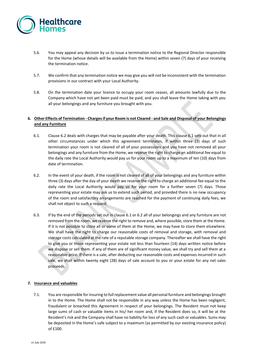

- 5.6. You may appeal any decision by us to issue a termination notice to the Regional Director responsible for the Home (whose details will be available from the Home) within seven (7) days of your receiving the termination notice.
- 5.7. We confirm that any termination notice we may give you will not be inconsistent with the termination provisions in our contract with your Local Authority.
- 5.8. On the termination date your licence to occupy your room ceases, all amounts lawfully due to the Company which have not yet been paid must be paid, and you shall leave the Home taking with you all your belongings and any furniture you brought with you.

## **6. Other Effects of Termination - Charges if your Room is not Cleared - and Sale and Disposal of your Belongings and any Furniture**

- 6.1. Clause 6.2 deals with charges that may be payable after your death. This clause 6.1 sets out that in all other circumstances under which this agreement terminates, if within three (3) days of such termination your room is not cleared of all of your possessions and you have not removed all your belongings and any furniture from the Home, we reserve the right to charge an additional fee equal to the daily rate the Local Authority would pay us for your room up to a maximum of ten (10) days from date of termination.
- 6.2. In the event of your death, if the room is not cleared of all of your belongings and any furniture within three (3) days after the day of your death we reserve the right to charge an additional fee equal to the daily rate the Local Authority would pay us for your room for a further seven (7) days. Those representing your estate may ask us to extend such period, and provided there is no new occupancy of the room and satisfactory arrangements are reached for the payment of continuing daily fees, we shall not object to such a request.
- 6.3. If by the end of the periods set out in clause 6.1 or 6.2 all of your belongings and any furniture are not removed from the room, we reserve the right to remove and, where possible, store them at the Home. If it is not possible to store all or some of them at the Home, we may have to store them elsewhere. We shall have the right to charge our reasonable costs of removal and storage, with removal and storage costs calculated at the rate of a reputable storage company. Thereafter we shall have the right to give you or those representing your estate not less than fourteen (14) days written notice before we dispose or sell them. If any of them are of significant money value, we shall try and sell them at a reasonable price. If there is a sale, after deducting our reasonable costs and expenses incurred in such sale, we shall within twenty eight (28) days of sale account to you or your estate for any net sales proceeds.

### **7. Insurance and valuables**

7.1. You are responsible for insuring to full replacement value all personal furniture and belongings brought in to the Home. The Home shall not be responsible in any way unless the Home has been negligent, fraudulent or breached this Agreement in respect of your belongings. The Resident must not keep large sums of cash or valuable items in his/ her room and, if the Resident does so, it will be at the Resident's risk and the Company shall have no liability for loss of any such cash or valuables. Sums may be deposited in the Home's safe subject to a maximum (as permitted by our existing insurance policy) of £100.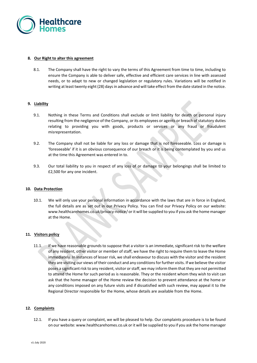

### **8. Our Right to alter this agreement**

8.1. The Company shall have the right to vary the terms of this Agreement from time to time, including to ensure the Company is able to deliver safe, effective and efficient care services in line with assessed needs, or to adapt to new or changed legislation or regulatory rules. Variations will be notified in writing at least twenty eight (28) days in advance and will take effect from the date stated in the notice.

#### **9. Liability**

- 9.1. Nothing in these Terms and Conditions shall exclude or limit liability for death or personal injury resulting from the negligence of the Company, or its employees or agents or breach of statutory duties relating to providing you with goods, products or services or any fraud or fraudulent misrepresentation.
- 9.2. The Company shall not be liable for any loss or damage that is not foreseeable. Loss or damage is 'foreseeable' if it is an obvious consequence of our breach or it is being contemplated by you and us at the time this Agreement was entered in to.
- 9.3. Our total liability to you in respect of any loss of or damage to your belongings shall be limited to £2,500 for any one incident.

#### **10. Data Protection**

10.1. We will only use your personal information in accordance with the laws that are in force in England, the full details are as set out in our Privacy Policy. You can find our Privacy Policy on our website: [www.healthcarehomes.co.uk/privacy-notice/](http://www.healthcarehomes.co.uk/privacy-notice/) or it will be supplied to you if you ask the home manager at the Home.

### **11. Visitors policy**

11.1. If we have reasonable grounds to suppose that a visitor is an immediate, significant risk to the welfare of any resident, other visitor or member of staff, we have the right to require them to leave the Home immediately. In instances of lesser risk, we shall endeavour to discuss with the visitor and the resident they are visiting our views of their conduct and any conditions for further visits. If we believe the visitor poses a significant risk to any resident, visitor or staff, we may inform them that they are not permitted to attend the Home for such period as is reasonable. They or the resident whom they wish to visit can ask that the home manager of the Home review the decision to prevent attendance at the home or any conditions imposed on any future visits and if dissatisfied with such review, may appeal it to the Regional Director responsible for the Home, whose details are available from the Home.

#### **12. Complaints**

12.1. If you have a query or complaint, we will be pleased to help. Our complaints procedure is to be found on our website: www.healthcarehomes.co.uk or it will be supplied to you if you ask the home manager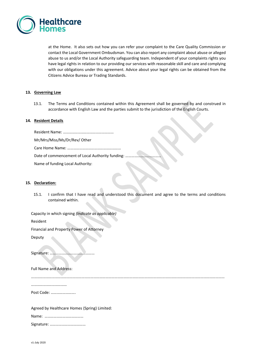

at the Home. It also sets out how you can refer your complaint to the Care Quality Commission or contact the Local Government Ombudsman. You can also report any complaint about abuse or alleged abuse to us and/or the Local Authority safeguarding team. Independent of your complaints rights you have legal rights in relation to our providing our services with reasonable skill and care and complying with our obligations under this agreement. Advice about your legal rights can be obtained from the Citizens Advice Bureau or Trading Standards.

### **13. Governing Law**

13.1. The Terms and Conditions contained within this Agreement shall be governed by and construed in accordance with English Law and the parties submit to the jurisdiction of the English Courts.

#### **14. Resident Details**

| Mr/Mrs/Miss/Ms/Dr/Rev/ Other     |  |
|----------------------------------|--|
|                                  |  |
|                                  |  |
| Name of funding Local Authority: |  |

#### **15. Declaration:**

15.1. I confirm that I have read and understood this document and agree to the terms and conditions contained within.

……………………………………………………………………………………………………………………………………………………………………………

Capacity in which signing *(Indicate as applicable)*

Resident

Financial and Property Power of Attorney

Deputy

Signature: ………………………………………

Full Name and Address:

………………………………

Post Code: …………………….

Agreed by Healthcare Homes (Spring) Limited:

Name: …………………………………

Signature: ………………………………